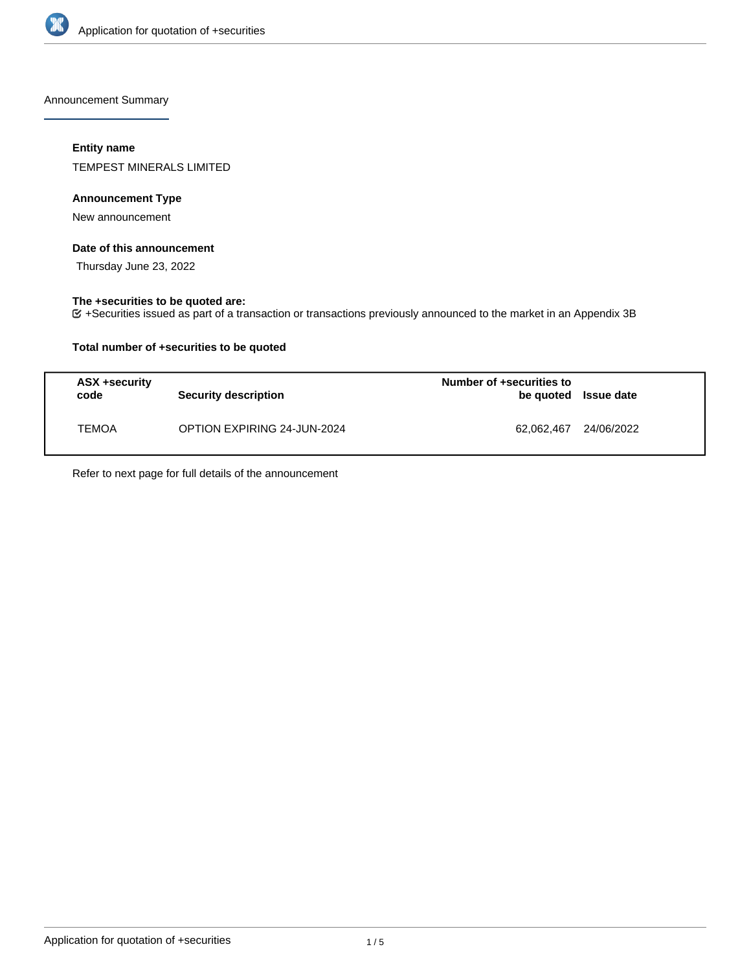

Announcement Summary

## **Entity name**

TEMPEST MINERALS LIMITED

## **Announcement Type**

New announcement

## **Date of this announcement**

Thursday June 23, 2022

# **The +securities to be quoted are:**

+Securities issued as part of a transaction or transactions previously announced to the market in an Appendix 3B

## **Total number of +securities to be quoted**

| ASX +security<br>code | <b>Security description</b>        | Number of +securities to<br>be quoted Issue date |            |
|-----------------------|------------------------------------|--------------------------------------------------|------------|
| <b>TEMOA</b>          | <b>OPTION EXPIRING 24-JUN-2024</b> | 62.062.467                                       | 24/06/2022 |

Refer to next page for full details of the announcement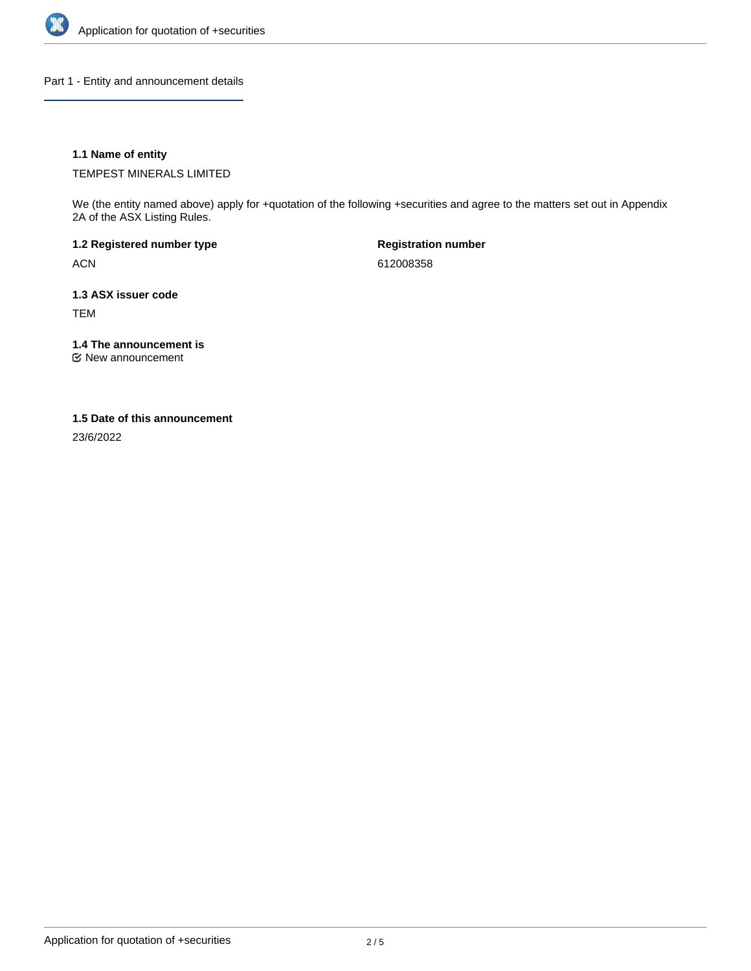

Part 1 - Entity and announcement details

## **1.1 Name of entity**

TEMPEST MINERALS LIMITED

We (the entity named above) apply for +quotation of the following +securities and agree to the matters set out in Appendix 2A of the ASX Listing Rules.

**1.2 Registered number type** ACN

**Registration number** 612008358

**1.3 ASX issuer code**

TEM

**1.4 The announcement is**

New announcement

### **1.5 Date of this announcement**

23/6/2022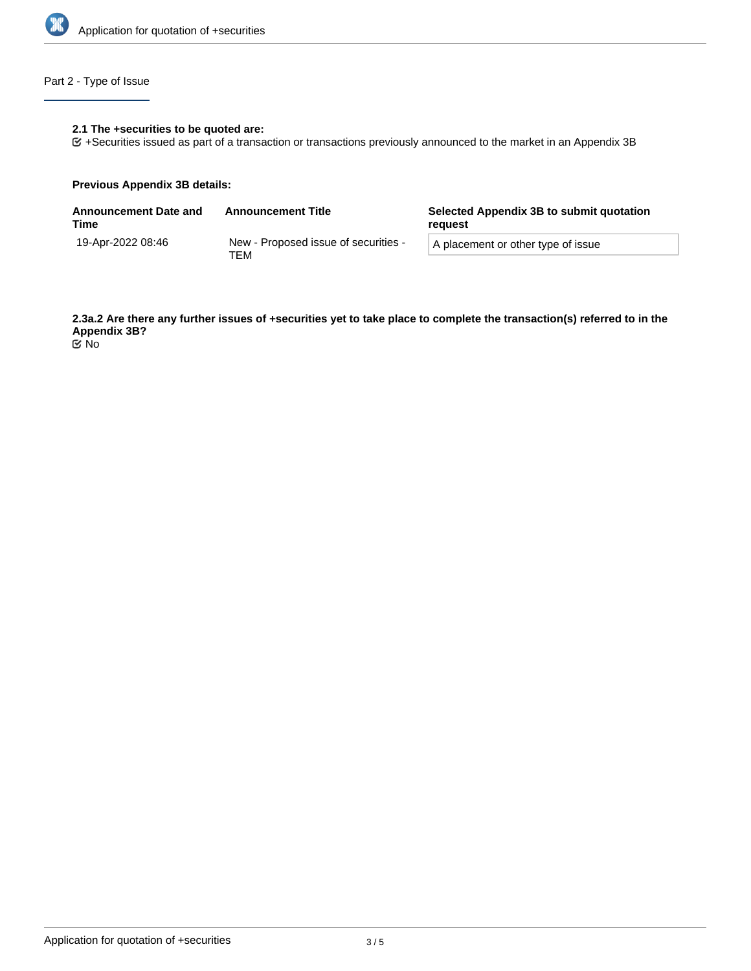

# Part 2 - Type of Issue

## **2.1 The +securities to be quoted are:**

+Securities issued as part of a transaction or transactions previously announced to the market in an Appendix 3B

### **Previous Appendix 3B details:**

| <b>Announcement Date and</b><br>Time | <b>Announcement Title</b>                   | Selected Appendix 3B to submit quotation<br>reauest |  |
|--------------------------------------|---------------------------------------------|-----------------------------------------------------|--|
| 19-Apr-2022 08:46                    | New - Proposed issue of securities -<br>тем | A placement or other type of issue                  |  |

**2.3a.2 Are there any further issues of +securities yet to take place to complete the transaction(s) referred to in the Appendix 3B?** No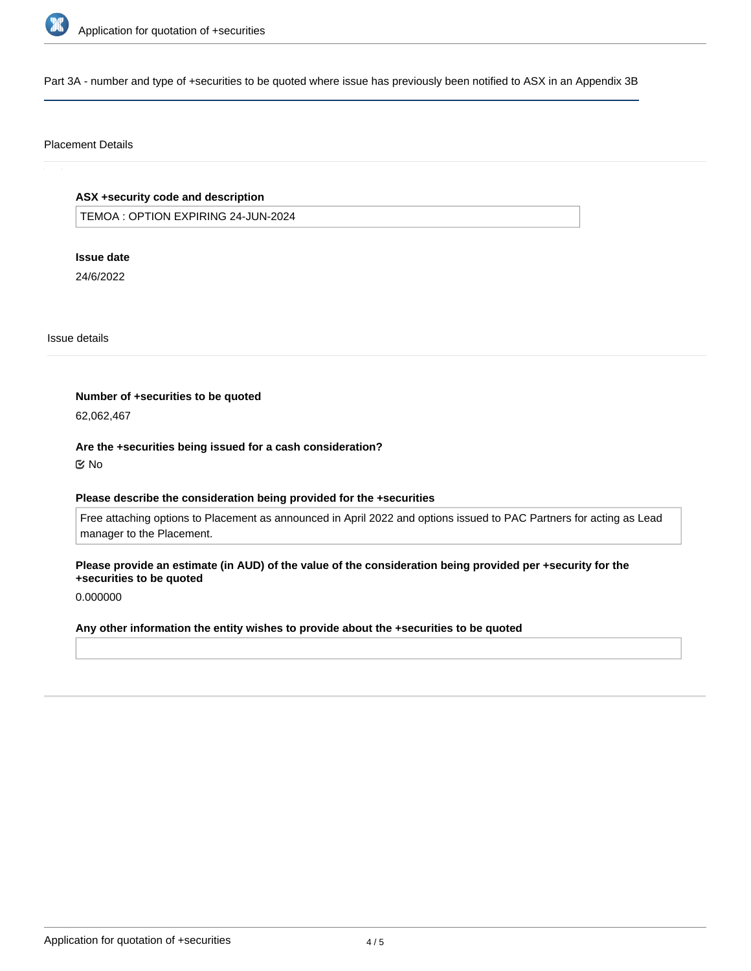

Part 3A - number and type of +securities to be quoted where issue has previously been notified to ASX in an Appendix 3B

### Placement Details

# **ASX +security code and description**

TEMOA : OPTION EXPIRING 24-JUN-2024

### **Issue date**

24/6/2022

Issue details

#### **Number of +securities to be quoted**

62,062,467

#### **Are the +securities being issued for a cash consideration?**

No

## **Please describe the consideration being provided for the +securities**

Free attaching options to Placement as announced in April 2022 and options issued to PAC Partners for acting as Lead manager to the Placement.

### **Please provide an estimate (in AUD) of the value of the consideration being provided per +security for the +securities to be quoted**

0.000000

# **Any other information the entity wishes to provide about the +securities to be quoted**